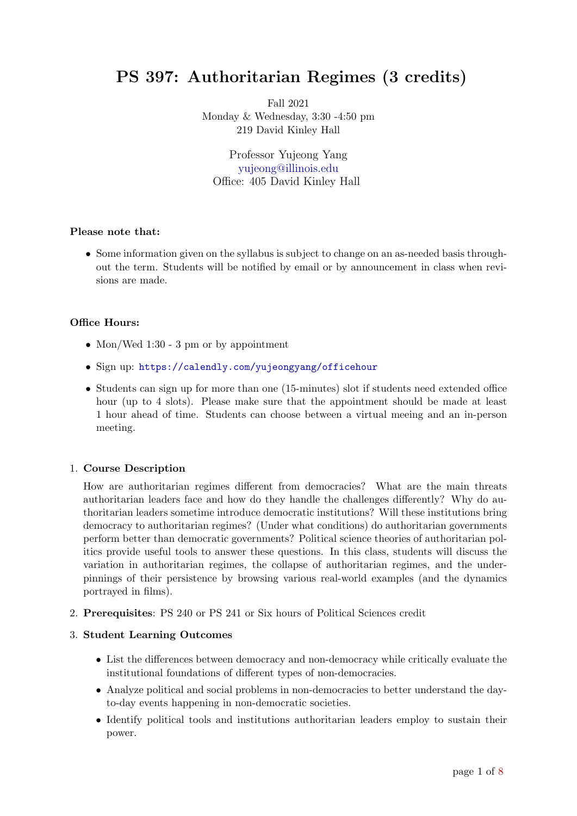# PS 397: Authoritarian Regimes (3 credits)

Fall 2021 Monday & Wednesday, 3:30 -4:50 pm 219 David Kinley Hall

Professor Yujeong Yang [yujeong@illinois.edu](mailto:yujeong@illinois.edu) Office: 405 David Kinley Hall

## Please note that:

• Some information given on the syllabus is subject to change on an as-needed basis throughout the term. Students will be notified by email or by announcement in class when revisions are made.

# Office Hours:

- Mon/Wed 1:30 3 pm or by appointment
- Sign up: <https://calendly.com/yujeongyang/officehour>
- Students can sign up for more than one (15-minutes) slot if students need extended office hour (up to 4 slots). Please make sure that the appointment should be made at least 1 hour ahead of time. Students can choose between a virtual meeing and an in-person meeting.

# 1. Course Description

How are authoritarian regimes different from democracies? What are the main threats authoritarian leaders face and how do they handle the challenges differently? Why do authoritarian leaders sometime introduce democratic institutions? Will these institutions bring democracy to authoritarian regimes? (Under what conditions) do authoritarian governments perform better than democratic governments? Political science theories of authoritarian politics provide useful tools to answer these questions. In this class, students will discuss the variation in authoritarian regimes, the collapse of authoritarian regimes, and the underpinnings of their persistence by browsing various real-world examples (and the dynamics portrayed in films).

2. Prerequisites: PS 240 or PS 241 or Six hours of Political Sciences credit

# 3. Student Learning Outcomes

- List the differences between democracy and non-democracy while critically evaluate the institutional foundations of different types of non-democracies.
- Analyze political and social problems in non-democracies to better understand the dayto-day events happening in non-democratic societies.
- Identify political tools and institutions authoritarian leaders employ to sustain their power.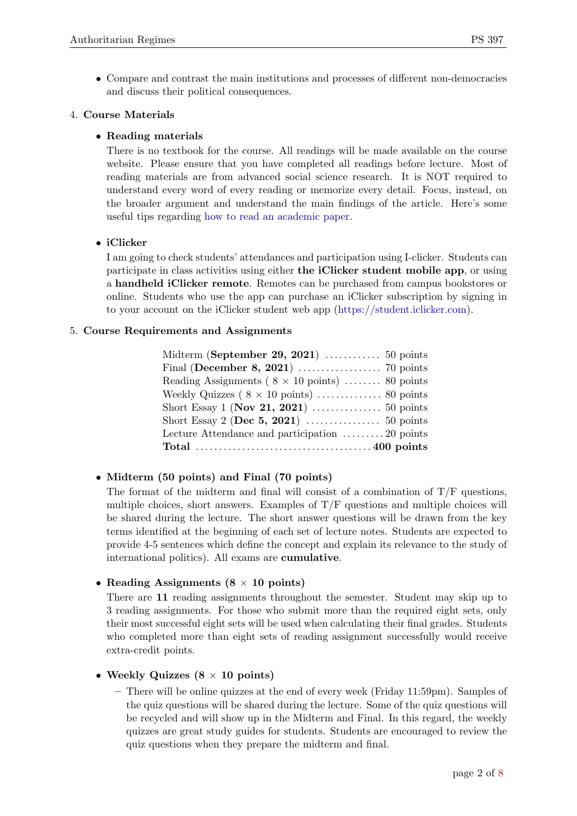• Compare and contrast the main institutions and processes of different non-democracies and discuss their political consequences.

# 4. Course Materials

# • Reading materials

There is no textbook for the course. All readings will be made available on the course website. Please ensure that you have completed all readings before lecture. Most of reading materials are from advanced social science research. It is NOT required to understand every word of every reading or memorize every detail. Focus, instead, on the broader argument and understand the main findings of the article. Here's some useful tips regarding [how to read an academic paper.](https://www.youtube.com/watch?v=SKxm2HF_-k0)

# • iClicker

I am going to check students' attendances and participation using I-clicker. Students can participate in class activities using either the iClicker student mobile app, or using a handheld iClicker remote. Remotes can be purchased from campus bookstores or online. Students who use the app can purchase an iClicker subscription by signing in to your account on the iClicker student web app [\(https://student.iclicker.com\)](https://student.iclicker.com).

# 5. Course Requirements and Assignments

| Midterm (September 29, 2021) $\ldots$ 50 points        |  |
|--------------------------------------------------------|--|
|                                                        |  |
| Reading Assignments ( $8 \times 10$ points)  80 points |  |
|                                                        |  |
| Short Essay 1 (Nov 21, 2021) $\ldots$ 50 points        |  |
|                                                        |  |
| Lecture Attendance and participation 20 points         |  |
|                                                        |  |

# • Midterm (50 points) and Final (70 points)

The format of the midterm and final will consist of a combination of  $T/F$  questions, multiple choices, short answers. Examples of T/F questions and multiple choices will be shared during the lecture. The short answer questions will be drawn from the key terms identified at the beginning of each set of lecture notes. Students are expected to provide 4-5 sentences which define the concept and explain its relevance to the study of international politics). All exams are cumulative.

# • Reading Assignments  $(8 \times 10 \text{ points})$

There are 11 reading assignments throughout the semester. Student may skip up to 3 reading assignments. For those who submit more than the required eight sets, only their most successful eight sets will be used when calculating their final grades. Students who completed more than eight sets of reading assignment successfully would receive extra-credit points.

# • Weekly Quizzes  $(8 \times 10 \text{ points})$

– There will be online quizzes at the end of every week (Friday 11:59pm). Samples of the quiz questions will be shared during the lecture. Some of the quiz questions will be recycled and will show up in the Midterm and Final. In this regard, the weekly quizzes are great study guides for students. Students are encouraged to review the quiz questions when they prepare the midterm and final.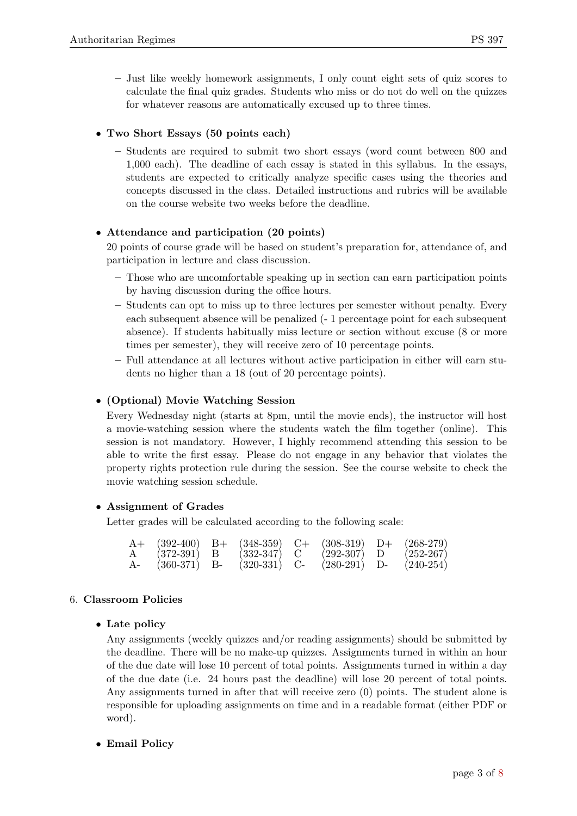– Just like weekly homework assignments, I only count eight sets of quiz scores to calculate the final quiz grades. Students who miss or do not do well on the quizzes for whatever reasons are automatically excused up to three times.

# • Two Short Essays (50 points each)

– Students are required to submit two short essays (word count between 800 and 1,000 each). The deadline of each essay is stated in this syllabus. In the essays, students are expected to critically analyze specific cases using the theories and concepts discussed in the class. Detailed instructions and rubrics will be available on the course website two weeks before the deadline.

# • Attendance and participation (20 points)

20 points of course grade will be based on student's preparation for, attendance of, and participation in lecture and class discussion.

- Those who are uncomfortable speaking up in section can earn participation points by having discussion during the office hours.
- Students can opt to miss up to three lectures per semester without penalty. Every each subsequent absence will be penalized (- 1 percentage point for each subsequent absence). If students habitually miss lecture or section without excuse (8 or more times per semester), they will receive zero of 10 percentage points.
- Full attendance at all lectures without active participation in either will earn students no higher than a 18 (out of 20 percentage points).

# • (Optional) Movie Watching Session

Every Wednesday night (starts at 8pm, until the movie ends), the instructor will host a movie-watching session where the students watch the film together (online). This session is not mandatory. However, I highly recommend attending this session to be able to write the first essay. Please do not engage in any behavior that violates the property rights protection rule during the session. See the course website to check the movie watching session schedule.

## • Assignment of Grades

Letter grades will be calculated according to the following scale:

|    |                | $A+$ (392-400) B+ (348-359) C+ (308-319) D+ (268-279) |                |               |
|----|----------------|-------------------------------------------------------|----------------|---------------|
|    | $(372-391)$ B  | $(332-347)$ C                                         | $(292-307)$ D  | $(252 - 267)$ |
| A- | $(360-371)$ B- | $(320-331)$ C-                                        | $(280-291)$ D- | $(240-254)$   |

## 6. Classroom Policies

## • Late policy

Any assignments (weekly quizzes and/or reading assignments) should be submitted by the deadline. There will be no make-up quizzes. Assignments turned in within an hour of the due date will lose 10 percent of total points. Assignments turned in within a day of the due date (i.e. 24 hours past the deadline) will lose 20 percent of total points. Any assignments turned in after that will receive zero (0) points. The student alone is responsible for uploading assignments on time and in a readable format (either PDF or word).

## • Email Policy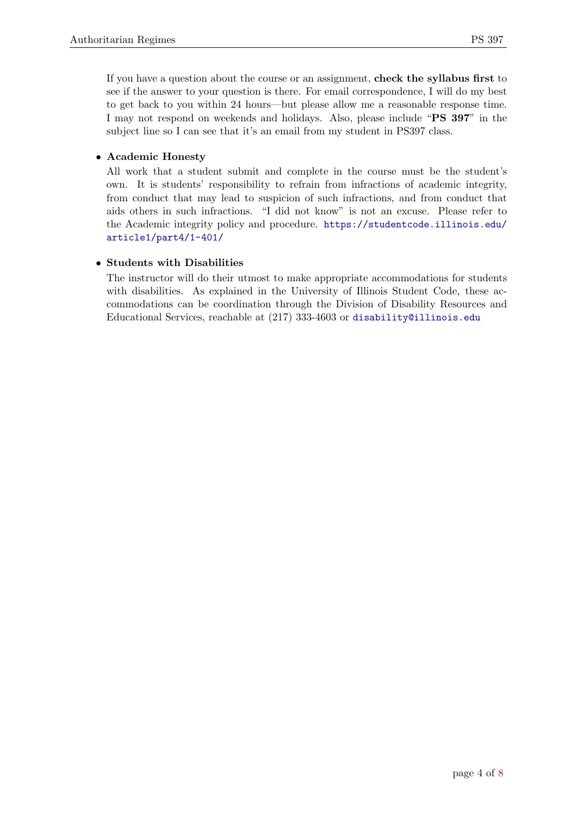If you have a question about the course or an assignment, check the syllabus first to see if the answer to your question is there. For email correspondence, I will do my best to get back to you within 24 hours—but please allow me a reasonable response time. I may not respond on weekends and holidays. Also, please include "PS 397" in the subject line so I can see that it's an email from my student in PS397 class.

# • Academic Honesty

All work that a student submit and complete in the course must be the student's own. It is students' responsibility to refrain from infractions of academic integrity, from conduct that may lead to suspicion of such infractions, and from conduct that aids others in such infractions. "I did not know" is not an excuse. Please refer to the Academic integrity policy and procedure. [https://studentcode.illinois.edu/](https://studentcode.illinois.edu/article1/part4/1-401/) [article1/part4/1-401/](https://studentcode.illinois.edu/article1/part4/1-401/)

# • Students with Disabilities

The instructor will do their utmost to make appropriate accommodations for students with disabilities. As explained in the University of Illinois Student Code, these accommodations can be coordination through the Division of Disability Resources and Educational Services, reachable at (217) 333-4603 or <disability@illinois.edu>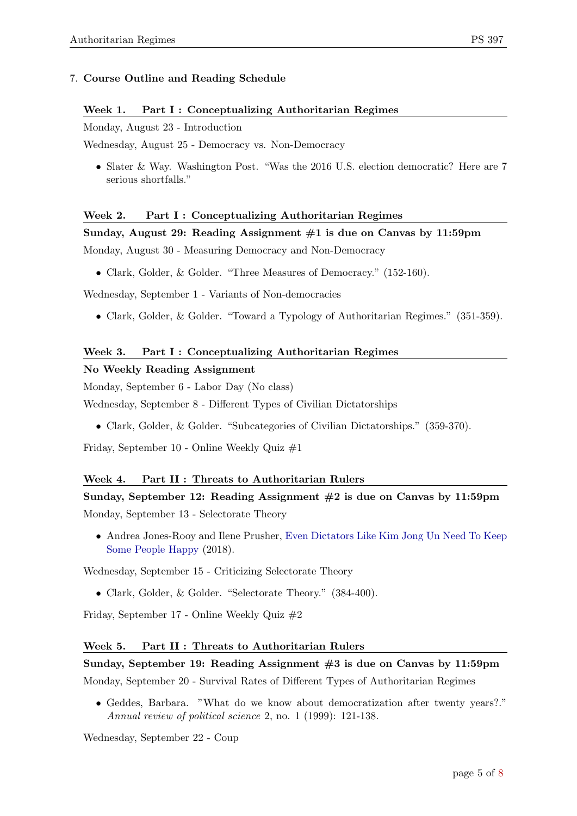# 7. Course Outline and Reading Schedule

## Week 1. Part I : Conceptualizing Authoritarian Regimes

Monday, August 23 - Introduction

Wednesday, August 25 - Democracy vs. Non-Democracy

• Slater & Way. Washington Post. "Was the 2016 U.S. election democratic? Here are 7 serious shortfalls."

# Week 2. Part I : Conceptualizing Authoritarian Regimes

## Sunday, August 29: Reading Assignment  $#1$  is due on Canvas by 11:59pm

Monday, August 30 - Measuring Democracy and Non-Democracy

• Clark, Golder, & Golder. "Three Measures of Democracy." (152-160).

Wednesday, September 1 - Variants of Non-democracies

• Clark, Golder, & Golder. "Toward a Typology of Authoritarian Regimes." (351-359).

# Week 3. Part I : Conceptualizing Authoritarian Regimes

## No Weekly Reading Assignment

Monday, September 6 - Labor Day (No class)

Wednesday, September 8 - Different Types of Civilian Dictatorships

• Clark, Golder, & Golder. "Subcategories of Civilian Dictatorships." (359-370).

Friday, September 10 - Online Weekly Quiz #1

## Week 4. Part II : Threats to Authoritarian Rulers

# Sunday, September 12: Reading Assignment  $#2$  is due on Canvas by 11:59pm

Monday, September 13 - Selectorate Theory

• Andrea Jones-Rooy and Ilene Prusher, [Even Dictators Like Kim Jong Un Need To Keep](https://fivethirtyeight.com/features/even-dictators-like-kim-jong-un-need-to-keep-some-people-happy/) [Some People Happy](https://fivethirtyeight.com/features/even-dictators-like-kim-jong-un-need-to-keep-some-people-happy/) (2018).

Wednesday, September 15 - Criticizing Selectorate Theory

• Clark, Golder, & Golder. "Selectorate Theory." (384-400).

Friday, September 17 - Online Weekly Quiz #2

## Week 5. Part II : Threats to Authoritarian Rulers

Sunday, September 19: Reading Assignment #3 is due on Canvas by 11:59pm Monday, September 20 - Survival Rates of Different Types of Authoritarian Regimes

• Geddes, Barbara. "What do we know about democratization after twenty years?." Annual review of political science 2, no. 1 (1999): 121-138.

Wednesday, September 22 - Coup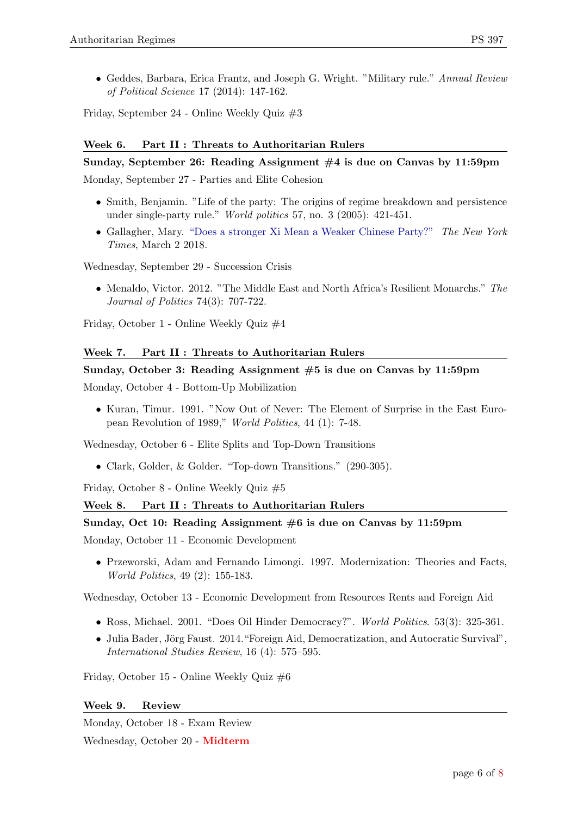• Geddes, Barbara, Erica Frantz, and Joseph G. Wright. "Military rule." Annual Review of Political Science 17 (2014): 147-162.

Friday, September 24 - Online Weekly Quiz #3

# Week 6. Part II : Threats to Authoritarian Rulers

## Sunday, September 26: Reading Assignment #4 is due on Canvas by 11:59pm

Monday, September 27 - Parties and Elite Cohesion

- Smith, Benjamin. "Life of the party: The origins of regime breakdown and persistence under single-party rule." World politics 57, no. 3 (2005): 421-451.
- Gallagher, Mary. ["Does a stronger Xi Mean a Weaker Chinese Party?"](https://www.nytimes.com/2018/03/02/opinion/xi-jinping-china.html) The New York Times, March 2 2018.

Wednesday, September 29 - Succession Crisis

• Menaldo, Victor. 2012. "The Middle East and North Africa's Resilient Monarchs." The Journal of Politics 74(3): 707-722.

Friday, October 1 - Online Weekly Quiz #4

# Week 7. Part II : Threats to Authoritarian Rulers

## Sunday, October 3: Reading Assignment #5 is due on Canvas by 11:59pm

Monday, October 4 - Bottom-Up Mobilization

• Kuran, Timur. 1991. "Now Out of Never: The Element of Surprise in the East European Revolution of 1989," World Politics, 44 (1): 7-48.

Wednesday, October 6 - Elite Splits and Top-Down Transitions

• Clark, Golder, & Golder. "Top-down Transitions." (290-305).

Friday, October 8 - Online Weekly Quiz #5

## Week 8. Part II : Threats to Authoritarian Rulers

## Sunday, Oct 10: Reading Assignment  $#6$  is due on Canvas by 11:59pm

Monday, October 11 - Economic Development

• Przeworski, Adam and Fernando Limongi. 1997. Modernization: Theories and Facts, World Politics, 49 (2): 155-183.

Wednesday, October 13 - Economic Development from Resources Rents and Foreign Aid

- Ross, Michael. 2001. "Does Oil Hinder Democracy?". World Politics. 53(3): 325-361.
- Julia Bader, Jörg Faust. 2014. "Foreign Aid, Democratization, and Autocratic Survival", International Studies Review, 16 (4): 575–595.

Friday, October 15 - Online Weekly Quiz #6

## Week 9. Review

Monday, October 18 - Exam Review Wednesday, October 20 - Midterm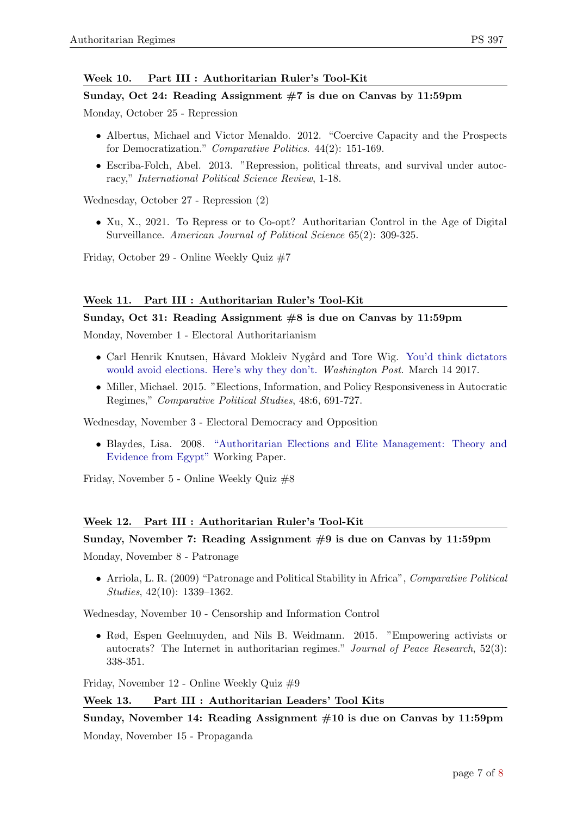# Week 10. Part III : Authoritarian Ruler's Tool-Kit

## Sunday, Oct 24: Reading Assignment #7 is due on Canvas by 11:59pm

Monday, October 25 - Repression

- Albertus, Michael and Victor Menaldo. 2012. "Coercive Capacity and the Prospects for Democratization." Comparative Politics. 44(2): 151-169.
- Escriba-Folch, Abel. 2013. "Repression, political threats, and survival under autocracy," International Political Science Review, 1-18.

Wednesday, October 27 - Repression (2)

• Xu, X., 2021. To Repress or to Co-opt? Authoritarian Control in the Age of Digital Surveillance. American Journal of Political Science 65(2): 309-325.

Friday, October 29 - Online Weekly Quiz #7

# Week 11. Part III : Authoritarian Ruler's Tool-Kit

## Sunday, Oct 31: Reading Assignment #8 is due on Canvas by 11:59pm

Monday, November 1 - Electoral Authoritarianism

- Carl Henrik Knutsen, Håvard Mokleiv Nygård and Tore Wig. [You'd think dictators](https://www.washingtonpost.com/news/monkey-cage/wp/2017/03/14/youd-think-dictators-would-avoid-elections-heres-why-they-dont/) [would avoid elections. Here's why they don't.](https://www.washingtonpost.com/news/monkey-cage/wp/2017/03/14/youd-think-dictators-would-avoid-elections-heres-why-they-dont/) Washington Post. March 14 2017.
- Miller, Michael. 2015. "Elections, Information, and Policy Responsiveness in Autocratic Regimes," Comparative Political Studies, 48:6, 691-727.

Wednesday, November 3 - Electoral Democracy and Opposition

• Blaydes, Lisa. 2008. ["Authoritarian Elections and Elite Management: Theory and](http://www.princeton.edu/~piirs/Dictatorships042508/Blaydes.pdf) [Evidence from Egypt"](http://www.princeton.edu/~piirs/Dictatorships042508/Blaydes.pdf) Working Paper.

Friday, November 5 - Online Weekly Quiz #8

## Week 12. Part III : Authoritarian Ruler's Tool-Kit

## Sunday, November 7: Reading Assignment  $#9$  is due on Canvas by 11:59pm

Monday, November 8 - Patronage

• Arriola, L. R. (2009) "Patronage and Political Stability in Africa", Comparative Political Studies, 42(10): 1339–1362.

Wednesday, November 10 - Censorship and Information Control

• Rød, Espen Geelmuyden, and Nils B. Weidmann. 2015. "Empowering activists or autocrats? The Internet in authoritarian regimes." Journal of Peace Research, 52(3): 338-351.

Friday, November 12 - Online Weekly Quiz #9

## Week 13. Part III : Authoritarian Leaders' Tool Kits

Sunday, November 14: Reading Assignment #10 is due on Canvas by 11:59pm

Monday, November 15 - Propaganda